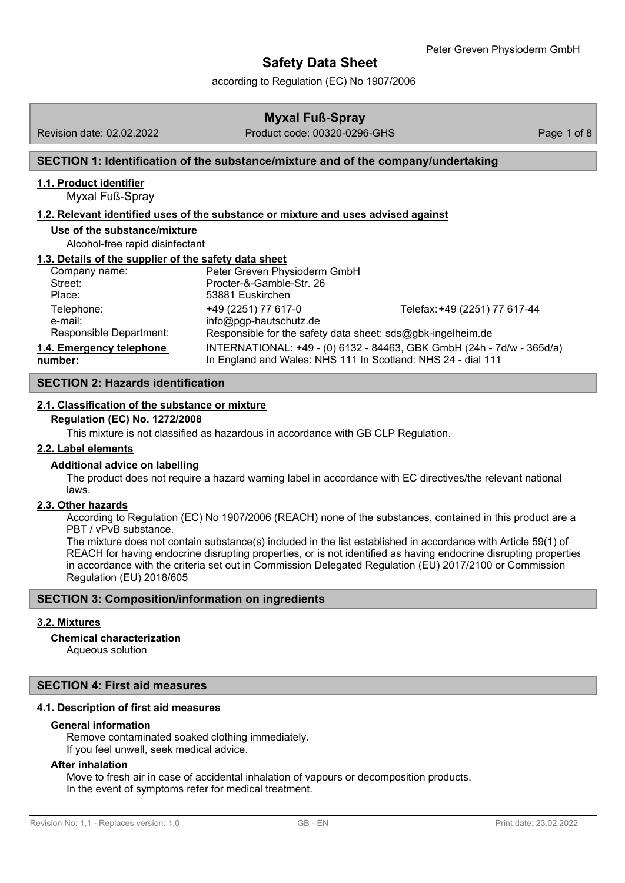according to Regulation (EC) No 1907/2006

## **Myxal Fuß-Spray**

## Revision date: 02.02.2022 Product code: 00320-0296-GHS Page 1 of 8

## **SECTION 1: Identification of the substance/mixture and of the company/undertaking**

#### **1.1. Product identifier**

Myxal Fuß-Spray

#### **1.2. Relevant identified uses of the substance or mixture and uses advised against**

#### **Use of the substance/mixture**

Alcohol-free rapid disinfectant

#### **1.3. Details of the supplier of the safety data sheet**

| Company name:            | Peter Greven Physioderm GmbH                                 |                                                                       |
|--------------------------|--------------------------------------------------------------|-----------------------------------------------------------------------|
| Street:                  | Procter-&-Gamble-Str. 26                                     |                                                                       |
| Place:                   | 53881 Euskirchen                                             |                                                                       |
| Telephone:               | +49 (2251) 77 617-0                                          | Telefax: +49 (2251) 77 617-44                                         |
| e-mail:                  | info@pgp-hautschutz.de                                       |                                                                       |
| Responsible Department:  | Responsible for the safety data sheet: sds@gbk-ingelheim.de  |                                                                       |
| 1.4. Emergency telephone |                                                              | INTERNATIONAL: +49 - (0) 6132 - 84463, GBK GmbH (24h - 7d/w - 365d/a) |
| number:                  | In England and Wales: NHS 111 In Scotland: NHS 24 - dial 111 |                                                                       |

#### **SECTION 2: Hazards identifica[tion](mailto:info@pgp-hautschutz.de)**

#### **2.1. Classification of the substance or mixture**

### **Regulation (EC) No. 1272/2008**

This mixture is not classified as hazardous in accordance with GB CLP Regulation.

#### **2.2. Label elements**

#### **Additional advice on labelling**

The product does not require a hazard warning label in accordance with EC directives/the relevant national laws.

## **2.3. Other hazards**

According to Regulation (EC) No 1907/2006 (REACH) none of the substances, contained in this product are a PBT / vPvB substance.

The mixture does not contain substance(s) included in the list established in accordance with Article 59(1) of REACH for having endocrine disrupting properties, or is not identified as having endocrine disrupting properties in accordance with the criteria set out in Commission Delegated Regulation (EU) 2017/2100 or Commission Regulation (EU) 2018/605

#### **SECTION 3: Composition/information on ingredients**

## **3.2. Mixtures**

## **Chemical characterization**

Aqueous solution

## **SECTION 4: First aid measures**

#### **4.1. Description of first aid measures**

#### **General information**

Remove contaminated soaked clothing immediately. If you feel unwell, seek medical advice.

#### **After inhalation**

Move to fresh air in case of accidental inhalation of vapours or decomposition products. In the event of symptoms refer for medical treatment.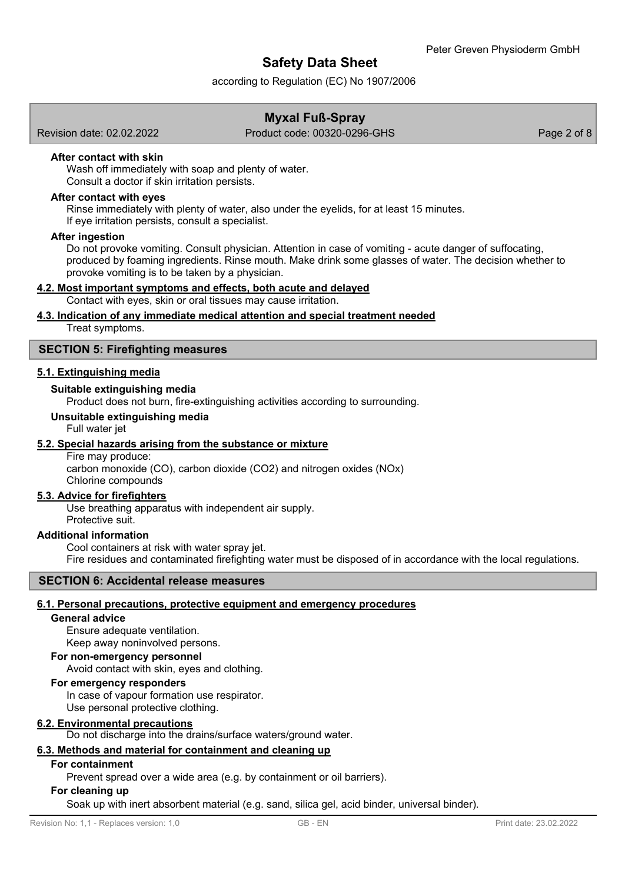according to Regulation (EC) No 1907/2006

## **Myxal Fuß-Spray**

Revision date: 02.02.2022 Product code: 00320-0296-GHS Page 2 of 8

#### **After contact with skin**

Wash off immediately with soap and plenty of water. Consult a doctor if skin irritation persists.

#### **After contact with eyes**

Rinse immediately with plenty of water, also under the eyelids, for at least 15 minutes. If eye irritation persists, consult a specialist.

### **After ingestion**

Do not provoke vomiting. Consult physician. Attention in case of vomiting - acute danger of suffocating, produced by foaming ingredients. Rinse mouth. Make drink some glasses of water. The decision whether to provoke vomiting is to be taken by a physician.

### **4.2. Most important symptoms and effects, both acute and delayed**

Contact with eyes, skin or oral tissues may cause irritation.

## **4.3. Indication of any immediate medical attention and special treatment needed**

Treat symptoms.

### **SECTION 5: Firefighting measures**

## **5.1. Extinguishing media**

### **Suitable extinguishing media**

Product does not burn, fire-extinguishing activities according to surrounding.

#### **Unsuitable extinguishing media**

Full water jet

## **5.2. Special hazards arising from the substance or mixture**

Fire may produce: carbon monoxide (CO), carbon dioxide (CO2) and nitrogen oxides (NOx) Chlorine compounds

#### **5.3. Advice for firefighters**

Use breathing apparatus with independent air supply. Protective suit.

#### **Additional information**

Cool containers at risk with water spray jet. Fire residues and contaminated firefighting water must be disposed of in accordance with the local regulations.

#### **SECTION 6: Accidental release measures**

#### **6.1. Personal precautions, protective equipment and emergency procedures**

## **General advice**

Ensure adequate ventilation. Keep away noninvolved persons.

## **For non-emergency personnel**

Avoid contact with skin, eyes and clothing.

#### **For emergency responders**

In case of vapour formation use respirator.

Use personal protective clothing.

#### **6.2. Environmental precautions**

Do not discharge into the drains/surface waters/ground water.

## **6.3. Methods and material for containment and cleaning up**

## **For containment**

Prevent spread over a wide area (e.g. by containment or oil barriers).

#### **For cleaning up**

Soak up with inert absorbent material (e.g. sand, silica gel, acid binder, universal binder).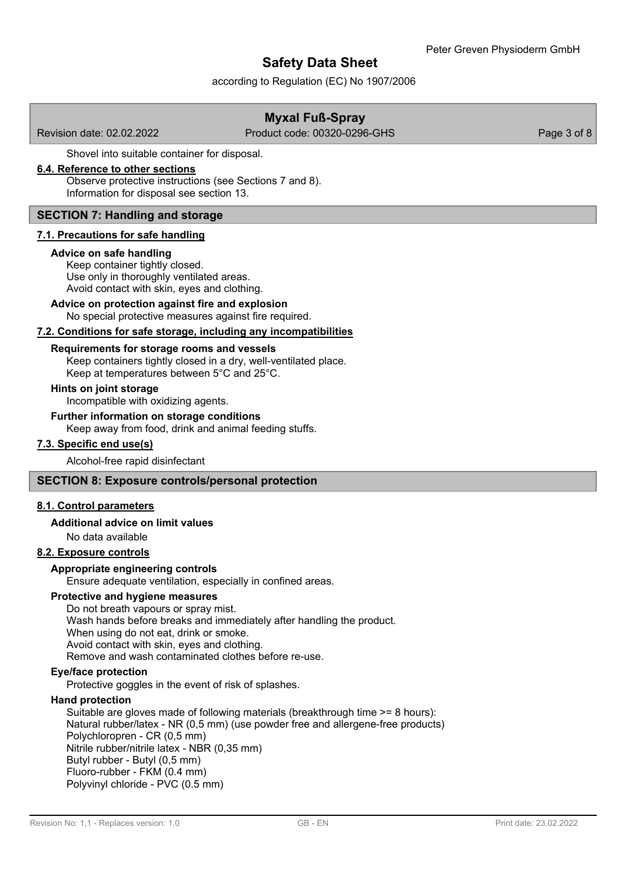according to Regulation (EC) No 1907/2006

## **Myxal Fuß-Spray**

Revision date: 02.02.2022 Product code: 00320-0296-GHS Page 3 of 8

Shovel into suitable container for disposal.

## **6.4. Reference to other sections**

Observe protective instructions (see Sections 7 and 8). Information for disposal see section 13.

## **SECTION 7: Handling and storage**

## **7.1. Precautions for safe handling**

## **Advice on safe handling**

Keep container tightly closed. Use only in thoroughly ventilated areas. Avoid contact with skin, eyes and clothing.

## **Advice on protection against fire and explosion**

No special protective measures against fire required.

## **7.2. Conditions for safe storage, including any incompatibilities**

## **Requirements for storage rooms and vessels**

Keep containers tightly closed in a dry, well-ventilated place.

Keep at temperatures between 5°C and 25°C.

## **Hints on joint storage**

Incompatible with oxidizing agents.

## **Further information on storage conditions**

Keep away from food, drink and animal feeding stuffs.

## **7.3. Specific end use(s)**

Alcohol-free rapid disinfectant

## **SECTION 8: Exposure controls/personal protection**

## **8.1. Control parameters**

## **Additional advice on limit values**

No data available

## **8.2. Exposure controls**

## **Appropriate engineering controls**

Ensure adequate ventilation, especially in confined areas.

## **Protective and hygiene measures**

Do not breath vapours or spray mist. Wash hands before breaks and immediately after handling the product. When using do not eat, drink or smoke. Avoid contact with skin, eyes and clothing. Remove and wash contaminated clothes before re-use.

## **Eye/face protection**

Protective goggles in the event of risk of splashes.

## **Hand protection**

Suitable are gloves made of following materials (breakthrough time >= 8 hours): Natural rubber/latex - NR (0,5 mm) (use powder free and allergene-free products) Polychloropren - CR (0,5 mm) Nitrile rubber/nitrile latex - NBR (0,35 mm) Butyl rubber - Butyl (0,5 mm) Fluoro-rubber - FKM (0.4 mm) Polyvinyl chloride - PVC (0.5 mm)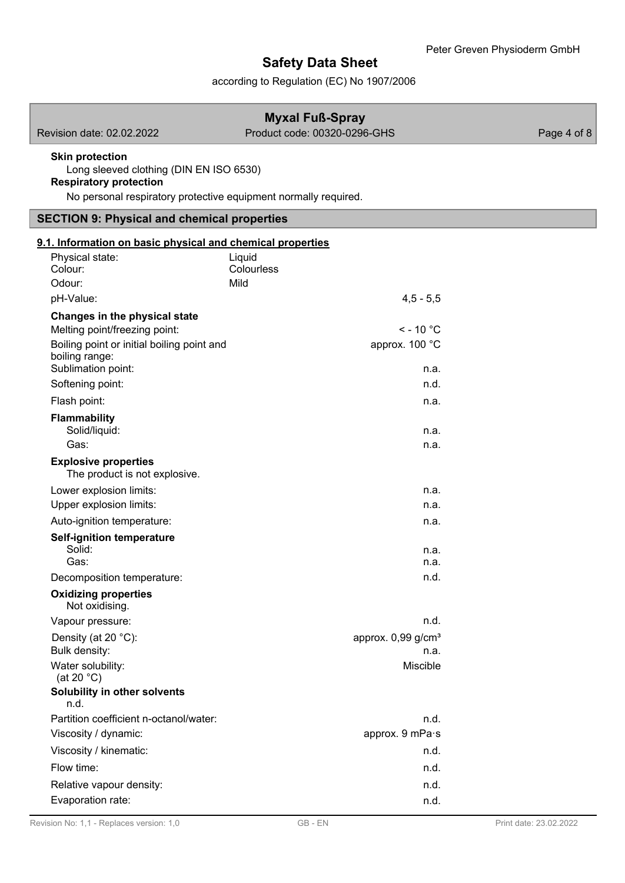according to Regulation (EC) No 1907/2006

| <b>Myxal Fuß-Spray</b>                                                                                                                                                |                                                    |             |  |  |
|-----------------------------------------------------------------------------------------------------------------------------------------------------------------------|----------------------------------------------------|-------------|--|--|
| Revision date: 02.02.2022                                                                                                                                             | Product code: 00320-0296-GHS                       | Page 4 of 8 |  |  |
| <b>Skin protection</b><br>Long sleeved clothing (DIN EN ISO 6530)<br><b>Respiratory protection</b><br>No personal respiratory protective equipment normally required. |                                                    |             |  |  |
| <b>SECTION 9: Physical and chemical properties</b>                                                                                                                    |                                                    |             |  |  |
| 9.1. Information on basic physical and chemical properties                                                                                                            |                                                    |             |  |  |
| Physical state:<br>Colour:<br>Odour:                                                                                                                                  | Liquid<br>Colourless<br>Mild                       |             |  |  |
| pH-Value:                                                                                                                                                             | $4,5 - 5,5$                                        |             |  |  |
| Changes in the physical state<br>Melting point/freezing point:<br>Boiling point or initial boiling point and<br>boiling range:<br>Sublimation point:                  | $\le$ - 10 °C<br>approx. 100 °C<br>n.a.            |             |  |  |
| Softening point:                                                                                                                                                      | n.d.                                               |             |  |  |
| Flash point:                                                                                                                                                          | n.a.                                               |             |  |  |
| <b>Flammability</b><br>Solid/liquid:<br>Gas:                                                                                                                          | n.a.<br>n.a.                                       |             |  |  |
| <b>Explosive properties</b><br>The product is not explosive.                                                                                                          |                                                    |             |  |  |
| Lower explosion limits:<br>Upper explosion limits:                                                                                                                    | n.a.<br>n.a.                                       |             |  |  |
| Auto-ignition temperature:                                                                                                                                            | n.a.                                               |             |  |  |
| <b>Self-ignition temperature</b><br>Solid:<br>Gas:<br>Decomposition temperature:                                                                                      | n.a.<br>n.a.<br>n.d.                               |             |  |  |
| <b>Oxidizing properties</b><br>Not oxidising.                                                                                                                         |                                                    |             |  |  |
| Vapour pressure:                                                                                                                                                      | n.d.                                               |             |  |  |
| Density (at 20 °C):<br>Bulk density:<br>Water solubility:                                                                                                             | approx. 0,99 g/cm <sup>3</sup><br>n.a.<br>Miscible |             |  |  |
| (at 20 $^{\circ}$ C)<br>Solubility in other solvents<br>n.d.                                                                                                          |                                                    |             |  |  |
| Partition coefficient n-octanol/water:                                                                                                                                | n.d.                                               |             |  |  |
| Viscosity / dynamic:                                                                                                                                                  | approx. 9 mPa·s                                    |             |  |  |
| Viscosity / kinematic:                                                                                                                                                | n.d.                                               |             |  |  |
| Flow time:                                                                                                                                                            | n.d.                                               |             |  |  |
| Relative vapour density:                                                                                                                                              | n.d.                                               |             |  |  |
| Evaporation rate:                                                                                                                                                     | n.d.                                               |             |  |  |

I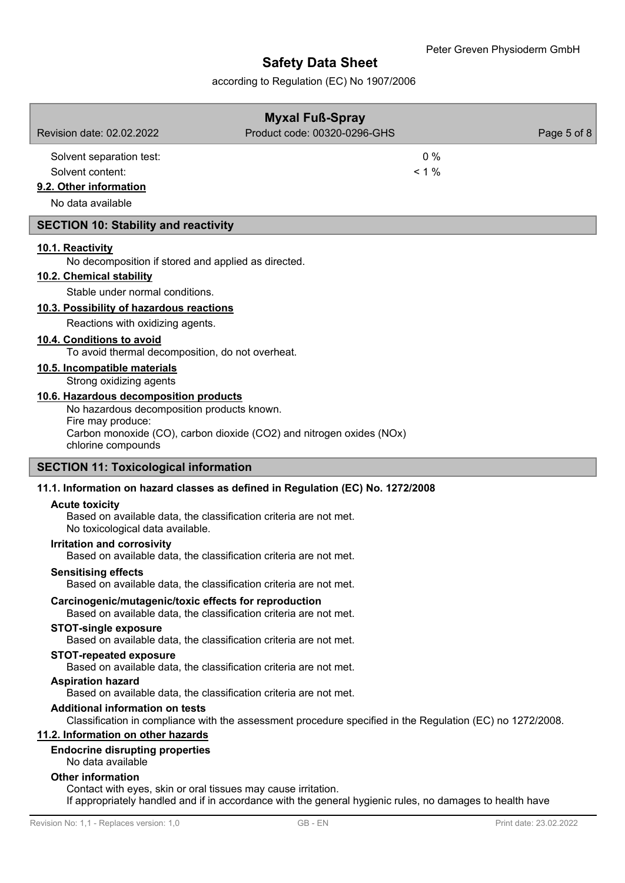according to Regulation (EC) No 1907/2006

|                                                                               | <b>Myxal Fuß-Spray</b>                                                          |             |
|-------------------------------------------------------------------------------|---------------------------------------------------------------------------------|-------------|
| Revision date: 02.02.2022                                                     | Product code: 00320-0296-GHS                                                    | Page 5 of 8 |
| Solvent separation test:                                                      | 0%                                                                              |             |
| Solvent content:                                                              | $< 1 \%$                                                                        |             |
| 9.2. Other information                                                        |                                                                                 |             |
| No data available                                                             |                                                                                 |             |
| <b>SECTION 10: Stability and reactivity</b>                                   |                                                                                 |             |
| 10.1. Reactivity                                                              |                                                                                 |             |
| No decomposition if stored and applied as directed.                           |                                                                                 |             |
| 10.2. Chemical stability                                                      |                                                                                 |             |
| Stable under normal conditions.                                               |                                                                                 |             |
| 10.3. Possibility of hazardous reactions                                      |                                                                                 |             |
| Reactions with oxidizing agents.                                              |                                                                                 |             |
| 10.4. Conditions to avoid<br>To avoid thermal decomposition, do not overheat. |                                                                                 |             |
| 10.5. Incompatible materials                                                  |                                                                                 |             |
| Strong oxidizing agents                                                       |                                                                                 |             |
| 10.6. Hazardous decomposition products                                        |                                                                                 |             |
| No hazardous decomposition products known.                                    |                                                                                 |             |
| Fire may produce:                                                             | Carbon monoxide (CO), carbon dioxide (CO2) and nitrogen oxides (NOx)            |             |
| chlorine compounds                                                            |                                                                                 |             |
| <b>SECTION 11: Toxicological information</b>                                  |                                                                                 |             |
|                                                                               | 11.1. Information on hazard classes as defined in Regulation (EC) No. 1272/2008 |             |
| <b>Acute toxicity</b>                                                         |                                                                                 |             |
| No toxicological data available.                                              | Based on available data, the classification criteria are not met.               |             |
| <b>Irritation and corrosivity</b>                                             | Based on available data, the classification criteria are not met.               |             |
| <b>Sensitising effects</b>                                                    | Based on available data, the classification criteria are not met.               |             |
| Carcinogenic/mutagenic/toxic effects for reproduction                         | Based on available data, the classification criteria are not met.               |             |
| <b>STOT-single exposure</b>                                                   | Based on available data, the classification criteria are not met.               |             |
| <b>STOT-repeated exposure</b>                                                 |                                                                                 |             |

Based on available data, the classification criteria are not met.

## **Aspiration hazard**

Based on available data, the classification criteria are not met.

## **Additional information on tests**

Classification in compliance with the assessment procedure specified in the Regulation (EC) no 1272/2008.

## **11.2. Information on other hazards**

#### **Endocrine disrupting properties**

No data available

## **Other information**

Contact with eyes, skin or oral tissues may cause irritation. If appropriately handled and if in accordance with the general hygienic rules, no damages to health have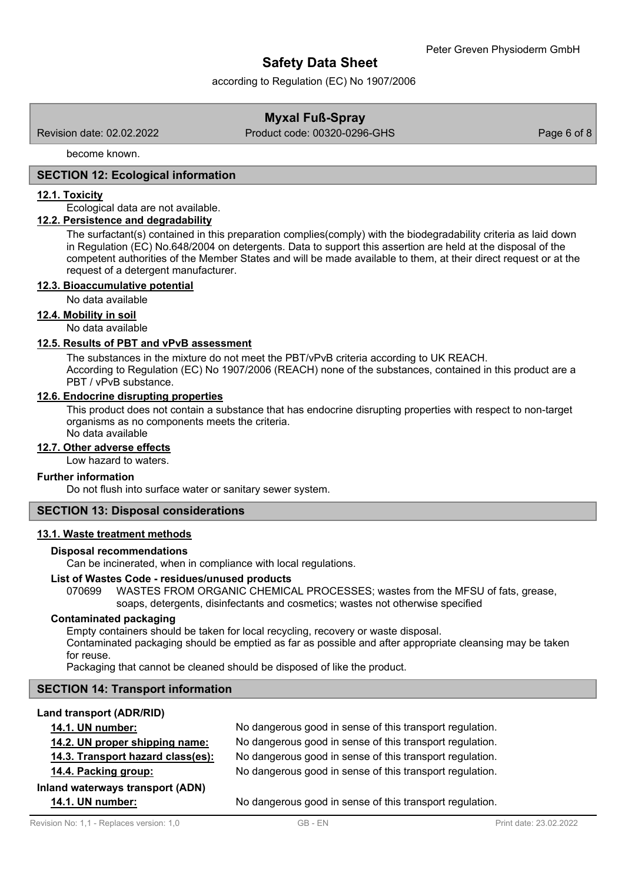according to Regulation (EC) No 1907/2006

## **Myxal Fuß-Spray**

Revision date: 02.02.2022 Product code: 00320-0296-GHS Page 6 of 8

become known.

## **SECTION 12: Ecological information**

#### **12.1. Toxicity**

Ecological data are not available.

## **12.2. Persistence and degradability**

The surfactant(s) contained in this preparation complies(comply) with the biodegradability criteria as laid down in Regulation (EC) No.648/2004 on detergents. Data to support this assertion are held at the disposal of the competent authorities of the Member States and will be made available to them, at their direct request or at the request of a detergent manufacturer.

#### **12.3. Bioaccumulative potential**

No data available

### **12.4. Mobility in soil**

No data available

## **12.5. Results of PBT and vPvB assessment**

The substances in the mixture do not meet the PBT/vPvB criteria according to UK REACH. According to Regulation (EC) No 1907/2006 (REACH) none of the substances, contained in this product are a PBT / vPvB substance.

#### **12.6. Endocrine disrupting properties**

This product does not contain a substance that has endocrine disrupting properties with respect to non-target organisms as no components meets the criteria.

No data available

### **12.7. Other adverse effects**

Low hazard to waters.

#### **Further information**

Do not flush into surface water or sanitary sewer system.

## **SECTION 13: Disposal considerations**

## **13.1. Waste treatment methods**

#### **Disposal recommendations**

Can be incinerated, when in compliance with local regulations.

## **List of Wastes Code - residues/unused products**

070699 WASTES FROM ORGANIC CHEMICAL PROCESSES; wastes from the MFSU of fats, grease, soaps, detergents, disinfectants and cosmetics; wastes not otherwise specified

## **Contaminated packaging**

Empty containers should be taken for local recycling, recovery or waste disposal.

Contaminated packaging should be emptied as far as possible and after appropriate cleansing may be taken for reuse.

Packaging that cannot be cleaned should be disposed of like the product.

## **SECTION 14: Transport information**

## **Land transport (ADR/RID)**

| 14.1. UN number:                  | No dangerous good in sense of this transport regulation. |
|-----------------------------------|----------------------------------------------------------|
| 14.2. UN proper shipping name:    | No dangerous good in sense of this transport regulation. |
| 14.3. Transport hazard class(es): | No dangerous good in sense of this transport regulation. |
| 14.4. Packing group:              | No dangerous good in sense of this transport regulation. |
| Inland waterways transport (ADN)  |                                                          |
| 14.1. UN number:                  | No dangerous good in sense of this transport regulation. |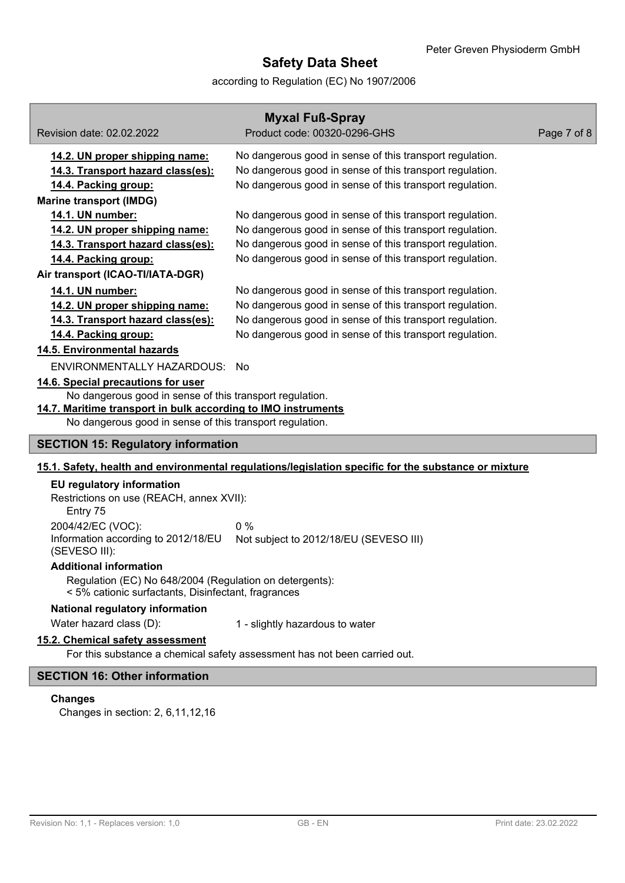according to Regulation (EC) No 1907/2006

| <b>Myxal Fuß-Spray</b>                                                                                         |                                                                                                                      |             |  |  |
|----------------------------------------------------------------------------------------------------------------|----------------------------------------------------------------------------------------------------------------------|-------------|--|--|
| Revision date: 02.02.2022                                                                                      | Product code: 00320-0296-GHS                                                                                         | Page 7 of 8 |  |  |
|                                                                                                                |                                                                                                                      |             |  |  |
| 14.2. UN proper shipping name:                                                                                 | No dangerous good in sense of this transport regulation.                                                             |             |  |  |
| 14.3. Transport hazard class(es):                                                                              | No dangerous good in sense of this transport regulation.<br>No dangerous good in sense of this transport regulation. |             |  |  |
| 14.4. Packing group:                                                                                           |                                                                                                                      |             |  |  |
| <b>Marine transport (IMDG)</b>                                                                                 |                                                                                                                      |             |  |  |
| 14.1. UN number:                                                                                               | No dangerous good in sense of this transport regulation.                                                             |             |  |  |
| 14.2. UN proper shipping name:                                                                                 | No dangerous good in sense of this transport regulation.                                                             |             |  |  |
| 14.3. Transport hazard class(es):                                                                              | No dangerous good in sense of this transport regulation.                                                             |             |  |  |
| 14.4. Packing group:                                                                                           | No dangerous good in sense of this transport regulation.                                                             |             |  |  |
| Air transport (ICAO-TI/IATA-DGR)                                                                               |                                                                                                                      |             |  |  |
| 14.1. UN number:                                                                                               | No dangerous good in sense of this transport regulation.                                                             |             |  |  |
| 14.2. UN proper shipping name:                                                                                 | No dangerous good in sense of this transport regulation.                                                             |             |  |  |
| 14.3. Transport hazard class(es):                                                                              | No dangerous good in sense of this transport regulation.                                                             |             |  |  |
| 14.4. Packing group:                                                                                           | No dangerous good in sense of this transport regulation.                                                             |             |  |  |
| 14.5. Environmental hazards                                                                                    |                                                                                                                      |             |  |  |
| ENVIRONMENTALLY HAZARDOUS: No                                                                                  |                                                                                                                      |             |  |  |
| 14.6. Special precautions for user                                                                             |                                                                                                                      |             |  |  |
| No dangerous good in sense of this transport regulation.                                                       |                                                                                                                      |             |  |  |
| 14.7. Maritime transport in bulk according to IMO instruments                                                  |                                                                                                                      |             |  |  |
| No dangerous good in sense of this transport regulation.                                                       |                                                                                                                      |             |  |  |
| <b>SECTION 15: Regulatory information</b>                                                                      |                                                                                                                      |             |  |  |
|                                                                                                                | 15.1. Safety, health and environmental regulations/legislation specific for the substance or mixture                 |             |  |  |
| <b>EU</b> regulatory information                                                                               |                                                                                                                      |             |  |  |
| Restrictions on use (REACH, annex XVII):                                                                       |                                                                                                                      |             |  |  |
| Entry 75                                                                                                       |                                                                                                                      |             |  |  |
| 2004/42/EC (VOC):                                                                                              | 0%                                                                                                                   |             |  |  |
| Information according to 2012/18/EU                                                                            | Not subject to 2012/18/EU (SEVESO III)                                                                               |             |  |  |
| (SEVESO III):                                                                                                  |                                                                                                                      |             |  |  |
| <b>Additional information</b>                                                                                  |                                                                                                                      |             |  |  |
| Regulation (EC) No 648/2004 (Regulation on detergents):<br>< 5% cationic surfactants, Disinfectant, fragrances |                                                                                                                      |             |  |  |
| National regulatory information                                                                                |                                                                                                                      |             |  |  |
| Water hazard class (D):                                                                                        | 1 - slightly hazardous to water                                                                                      |             |  |  |
| 15.2. Chemical safety assessment                                                                               |                                                                                                                      |             |  |  |
| For this substance a chemical safety assessment has not been carried out.                                      |                                                                                                                      |             |  |  |
| <b>SECTION 16: Other information</b>                                                                           |                                                                                                                      |             |  |  |

## **Changes**

Changes in section: 2, 6,11,12,16